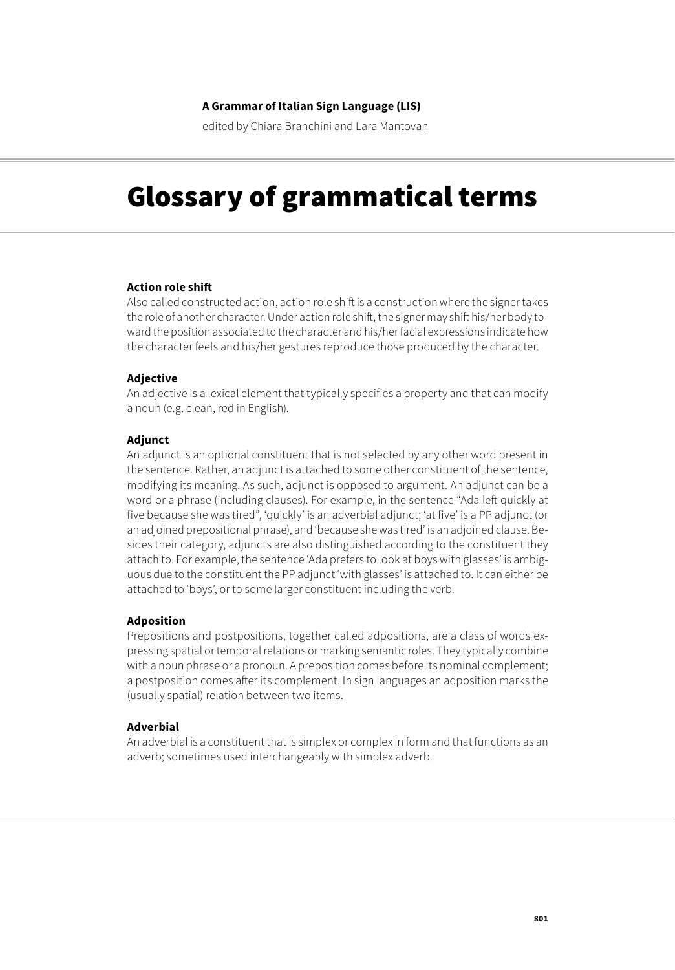#### **A Grammar of Italian Sign Language (LIS)**

edited by Chiara Branchini and Lara Mantovan

# Glossary of grammatical terms

#### **Action role shift**

Also called constructed action, action role shift is a construction where the signer takes the role of another character. Under action role shift, the signer may shift his/her body toward the position associated to the character and his/her facial expressions indicate how the character feels and his/her gestures reproduce those produced by the character.

#### **Adjective**

An adjective is a lexical element that typically specifies a property and that can modify a noun (e.g. clean, red in English).

#### **Adjunct**

An adjunct is an optional constituent that is not selected by any other word present in the sentence. Rather, an adjunct is attached to some other constituent of the sentence, modifying its meaning. As such, adjunct is opposed to argument. An adjunct can be a word or a phrase (including clauses). For example, in the sentence "Ada left quickly at five because she was tired", 'quickly' is an adverbial adjunct; 'at five' is a PP adjunct (or an adjoined prepositional phrase), and 'because she was tired' is an adjoined clause. Besides their category, adjuncts are also distinguished according to the constituent they attach to. For example, the sentence 'Ada prefers to look at boys with glasses' is ambiguous due to the constituent the PP adjunct 'with glasses' is attached to. It can either be attached to 'boys', or to some larger constituent including the verb.

#### **Adposition**

Prepositions and postpositions, together called adpositions, are a class of words expressing spatial or temporal relations or marking semantic roles. They typically combine with a noun phrase or a pronoun. A preposition comes before its nominal complement; a postposition comes after its complement. In sign languages an adposition marks the (usually spatial) relation between two items.

## **Adverbial**

An adverbial is a constituent that is simplex or complex in form and that functions as an adverb; sometimes used interchangeably with simplex adverb.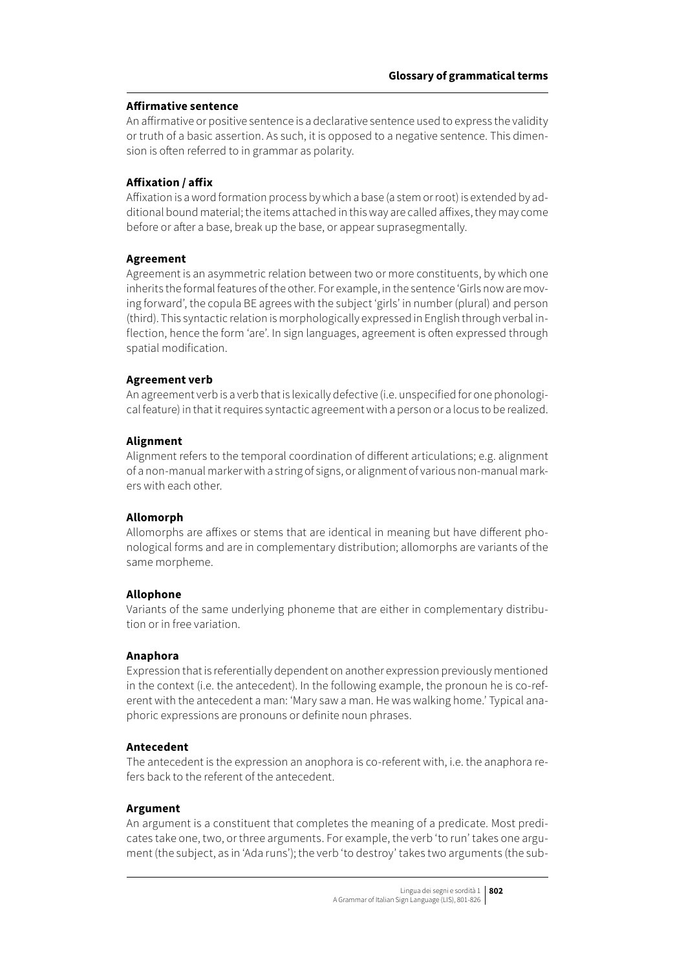#### **Affirmative sentence**

An affirmative or positive sentence is a declarative sentence used to express the validity or truth of a basic assertion. As such, it is opposed to a negative sentence. This dimension is often referred to in grammar as polarity.

#### **Affixation / affix**

Affixation is a word formation process by which a base (a stem or root) is extended by additional bound material; the items attached in this way are called affixes, they may come before or after a base, break up the base, or appear suprasegmentally.

#### **Agreement**

Agreement is an asymmetric relation between two or more constituents, by which one inherits the formal features of the other. For example, in the sentence 'Girls now are moving forward', the copula BE agrees with the subject 'girls' in number (plural) and person (third). This syntactic relation is morphologically expressed in English through verbal inflection, hence the form 'are'. In sign languages, agreement is often expressed through spatial modification.

#### **Agreement verb**

An agreement verb is a verb that is lexically defective (i.e. unspecified for one phonological feature) in that it requires syntactic agreement with a person or a locus to be realized.

#### **Alignment**

Alignment refers to the temporal coordination of different articulations; e.g. alignment of a non-manual marker with a string of signs, or alignment of various non-manual markers with each other.

#### **Allomorph**

Allomorphs are affixes or stems that are identical in meaning but have different phonological forms and are in complementary distribution; allomorphs are variants of the same morpheme.

#### **Allophone**

Variants of the same underlying phoneme that are either in complementary distribution or in free variation.

#### **Anaphora**

Expression that is referentially dependent on another expression previously mentioned in the context (i.e. the antecedent). In the following example, the pronoun he is co-referent with the antecedent a man: 'Mary saw a man. He was walking home.' Typical anaphoric expressions are pronouns or definite noun phrases.

#### **Antecedent**

The antecedent is the expression an anophora is co-referent with, i.e. the anaphora refers back to the referent of the antecedent.

# **Argument**

An argument is a constituent that completes the meaning of a predicate. Most predicates take one, two, or three arguments. For example, the verb 'to run' takes one argument (the subject, as in 'Ada runs'); the verb 'to destroy' takes two arguments (the sub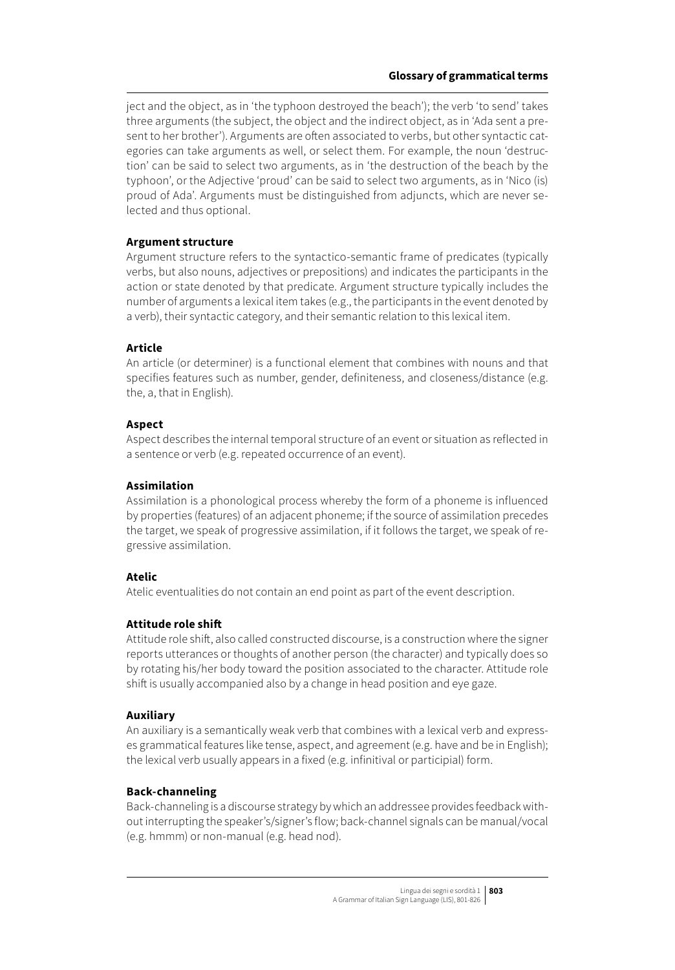ject and the object, as in 'the typhoon destroyed the beach'); the verb 'to send' takes three arguments (the subject, the object and the indirect object, as in 'Ada sent a present to her brother'). Arguments are often associated to verbs, but other syntactic categories can take arguments as well, or select them. For example, the noun 'destruction' can be said to select two arguments, as in 'the destruction of the beach by the typhoon', or the Adjective 'proud' can be said to select two arguments, as in 'Nico (is) proud of Ada'. Arguments must be distinguished from adjuncts, which are never selected and thus optional.

#### **Argument structure**

Argument structure refers to the syntactico-semantic frame of predicates (typically verbs, but also nouns, adjectives or prepositions) and indicates the participants in the action or state denoted by that predicate. Argument structure typically includes the number of arguments a lexical item takes (e.g., the participants in the event denoted by a verb), their syntactic category, and their semantic relation to this lexical item.

#### **Article**

An article (or determiner) is a functional element that combines with nouns and that specifies features such as number, gender, definiteness, and closeness/distance (e.g. the, a, that in English).

#### **Aspect**

Aspect describes the internal temporal structure of an event or situation as reflected in a sentence or verb (e.g. repeated occurrence of an event).

## **Assimilation**

Assimilation is a phonological process whereby the form of a phoneme is influenced by properties (features) of an adjacent phoneme; if the source of assimilation precedes the target, we speak of progressive assimilation, if it follows the target, we speak of regressive assimilation.

# **Atelic**

Atelic eventualities do not contain an end point as part of the event description.

#### **Attitude role shift**

Attitude role shift, also called constructed discourse, is a construction where the signer reports utterances or thoughts of another person (the character) and typically does so by rotating his/her body toward the position associated to the character. Attitude role shift is usually accompanied also by a change in head position and eye gaze.

# **Auxiliary**

An auxiliary is a semantically weak verb that combines with a lexical verb and expresses grammatical features like tense, aspect, and agreement (e.g. have and be in English); the lexical verb usually appears in a fixed (e.g. infinitival or participial) form.

#### **Back-channeling**

Back-channeling is a discourse strategy by which an addressee provides feedback without interrupting the speaker's/signer's flow; back-channel signals can be manual/vocal (e.g. hmmm) or non-manual (e.g. head nod).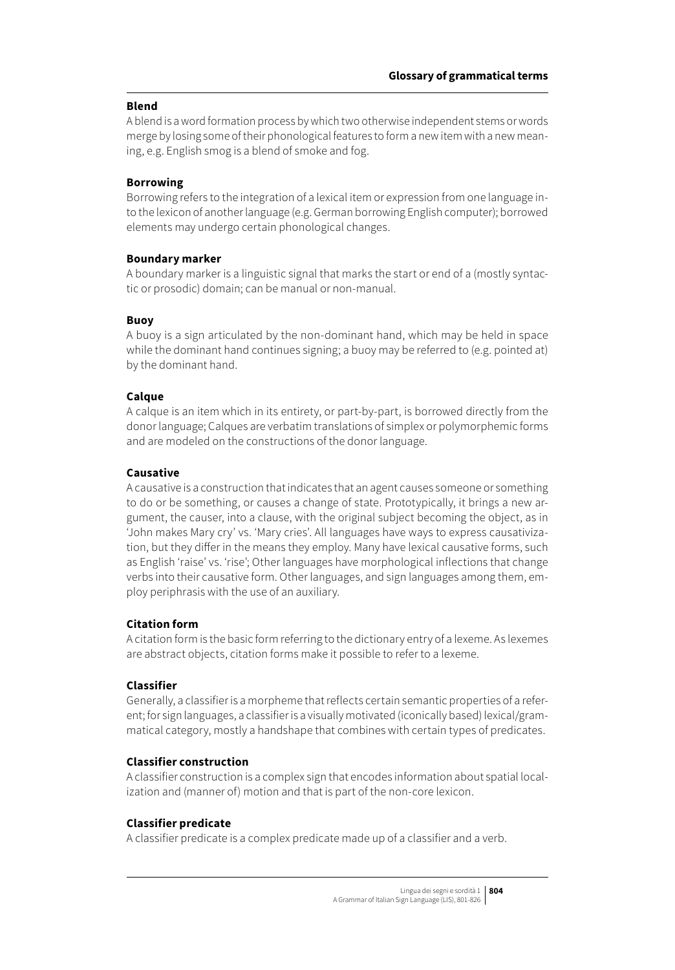#### **Blend**

A blend is a word formation process by which two otherwise independent stems or words merge by losing some of their phonological features to form a new item with a new meaning, e.g. English smog is a blend of smoke and fog.

# **Borrowing**

Borrowing refers to the integration of a lexical item or expression from one language into the lexicon of another language (e.g. German borrowing English computer); borrowed elements may undergo certain phonological changes.

#### **Boundary marker**

A boundary marker is a linguistic signal that marks the start or end of a (mostly syntactic or prosodic) domain; can be manual or non-manual.

# **Buoy**

A buoy is a sign articulated by the non-dominant hand, which may be held in space while the dominant hand continues signing; a buoy may be referred to (e.g. pointed at) by the dominant hand.

#### **Calque**

A calque is an item which in its entirety, or part-by-part, is borrowed directly from the donor language; Calques are verbatim translations of simplex or polymorphemic forms and are modeled on the constructions of the donor language.

#### **Causative**

A causative is a construction that indicates that an agent causes someone or something to do or be something, or causes a change of state. Prototypically, it brings a new argument, the causer, into a clause, with the original subject becoming the object, as in 'John makes Mary cry' vs. 'Mary cries'. All languages have ways to express causativization, but they differ in the means they employ. Many have lexical causative forms, such as English 'raise' vs. 'rise'; Other languages have morphological inflections that change verbs into their causative form. Other languages, and sign languages among them, employ periphrasis with the use of an auxiliary.

### **Citation form**

A citation form is the basic form referring to the dictionary entry of a lexeme. As lexemes are abstract objects, citation forms make it possible to refer to a lexeme.

## **Classifier**

Generally, a classifier is a morpheme that reflects certain semantic properties of a referent; for sign languages, a classifier is a visually motivated (iconically based) lexical/grammatical category, mostly a handshape that combines with certain types of predicates.

# **Classifier construction**

A classifier construction is a complex sign that encodes information about spatial localization and (manner of) motion and that is part of the non-core lexicon.

#### **Classifier predicate**

A classifier predicate is a complex predicate made up of a classifier and a verb.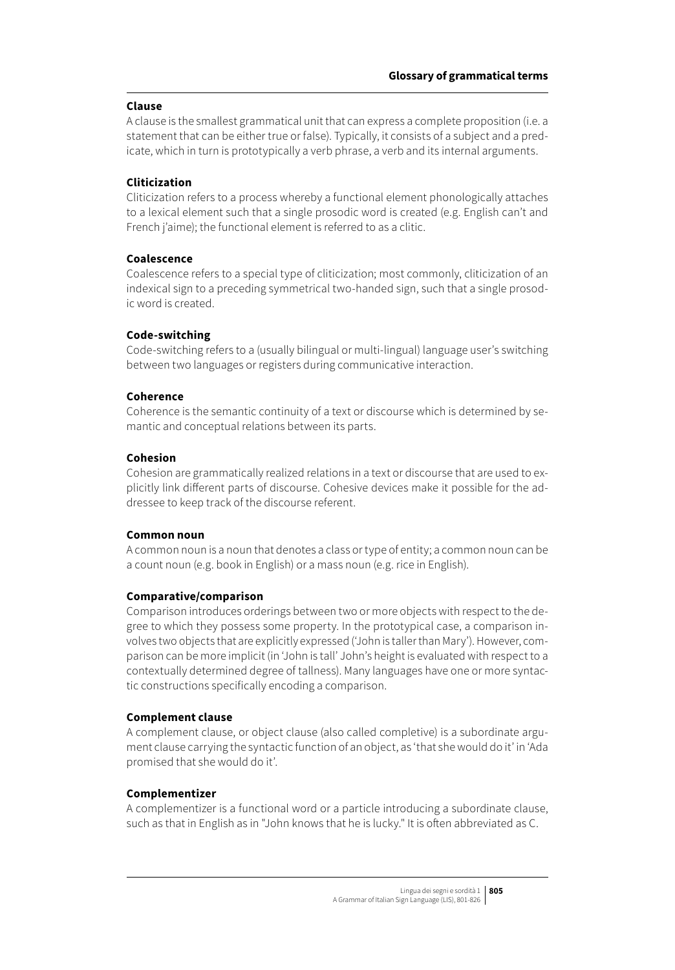#### **Clause**

A clause is the smallest grammatical unit that can express a complete proposition (i.e. a statement that can be either true or false). Typically, it consists of a subject and a predicate, which in turn is prototypically a verb phrase, a verb and its internal arguments.

# **Cliticization**

Cliticization refers to a process whereby a functional element phonologically attaches to a lexical element such that a single prosodic word is created (e.g. English can't and French j'aime); the functional element is referred to as a clitic.

## **Coalescence**

Coalescence refers to a special type of cliticization; most commonly, cliticization of an indexical sign to a preceding symmetrical two-handed sign, such that a single prosodic word is created.

# **Code-switching**

Code-switching refers to a (usually bilingual or multi-lingual) language user's switching between two languages or registers during communicative interaction.

## **Coherence**

Coherence is the semantic continuity of a text or discourse which is determined by semantic and conceptual relations between its parts.

#### **Cohesion**

Cohesion are grammatically realized relations in a text or discourse that are used to explicitly link different parts of discourse. Cohesive devices make it possible for the addressee to keep track of the discourse referent.

## **Common noun**

A common noun is a noun that denotes a class or type of entity; a common noun can be a count noun (e.g. book in English) or a mass noun (e.g. rice in English).

#### **Comparative/comparison**

Comparison introduces orderings between two or more objects with respect to the degree to which they possess some property. In the prototypical case, a comparison involves two objects that are explicitly expressed ('John is taller than Mary'). However, comparison can be more implicit (in 'John is tall' John's height is evaluated with respect to a contextually determined degree of tallness). Many languages have one or more syntactic constructions specifically encoding a comparison.

## **Complement clause**

A complement clause, or object clause (also called completive) is a subordinate argument clause carrying the syntactic function of an object, as 'that she would do it' in 'Ada promised that she would do it'.

# **Complementizer**

A complementizer is a functional word or a particle introducing a subordinate clause, such as that in English as in "John knows that he is lucky." It is often abbreviated as C.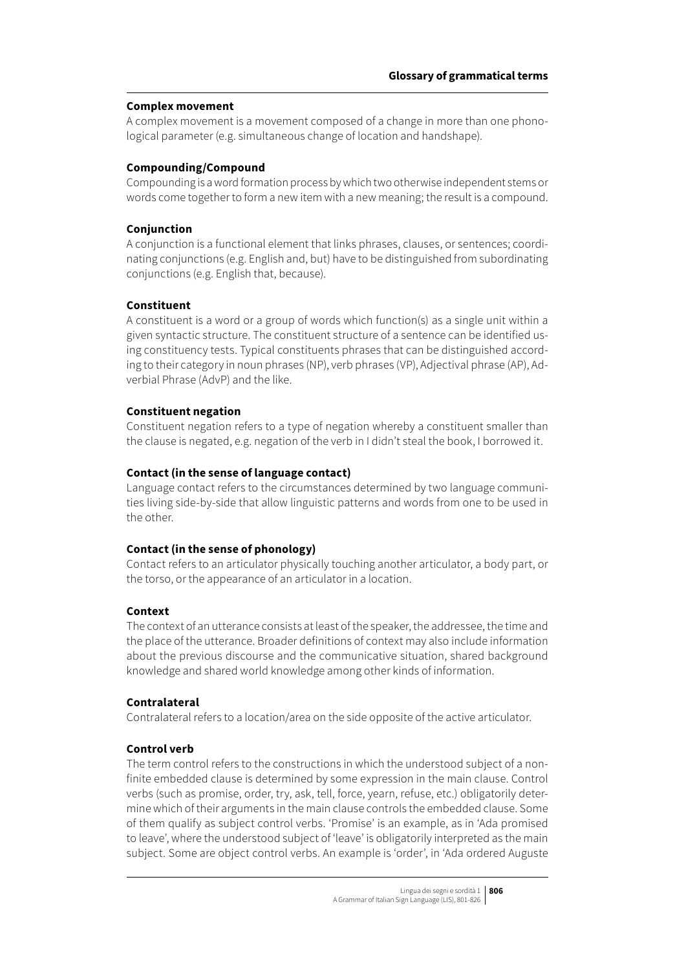#### **Complex movement**

A complex movement is a movement composed of a change in more than one phonological parameter (e.g. simultaneous change of location and handshape).

# **Compounding/Compound**

Compounding is a word formation process by which two otherwise independent stems or words come together to form a new item with a new meaning; the result is a compound.

#### **Conjunction**

A conjunction is a functional element that links phrases, clauses, or sentences; coordinating conjunctions (e.g. English and, but) have to be distinguished from subordinating conjunctions (e.g. English that, because).

## **Constituent**

A constituent is a word or a group of words which function(s) as a single unit within a given syntactic structure. The constituent structure of a sentence can be identified using constituency tests. Typical constituents phrases that can be distinguished according to their category in noun phrases (NP), verb phrases (VP), Adjectival phrase (AP), Adverbial Phrase (AdvP) and the like.

#### **Constituent negation**

Constituent negation refers to a type of negation whereby a constituent smaller than the clause is negated, e.g. negation of the verb in I didn't steal the book, I borrowed it.

# **Contact (in the sense of language contact)**

Language contact refers to the circumstances determined by two language communities living side-by-side that allow linguistic patterns and words from one to be used in the other.

## **Contact (in the sense of phonology)**

Contact refers to an articulator physically touching another articulator, a body part, or the torso, or the appearance of an articulator in a location.

#### **Context**

The context of an utterance consists at least of the speaker, the addressee, the time and the place of the utterance. Broader definitions of context may also include information about the previous discourse and the communicative situation, shared background knowledge and shared world knowledge among other kinds of information.

## **Contralateral**

Contralateral refers to a location/area on the side opposite of the active articulator.

# **Control verb**

The term control refers to the constructions in which the understood subject of a nonfinite embedded clause is determined by some expression in the main clause. Control verbs (such as promise, order, try, ask, tell, force, yearn, refuse, etc.) obligatorily determine which of their arguments in the main clause controls the embedded clause. Some of them qualify as subject control verbs. 'Promise' is an example, as in 'Ada promised to leave', where the understood subject of 'leave' is obligatorily interpreted as the main subject. Some are object control verbs. An example is 'order', in 'Ada ordered Auguste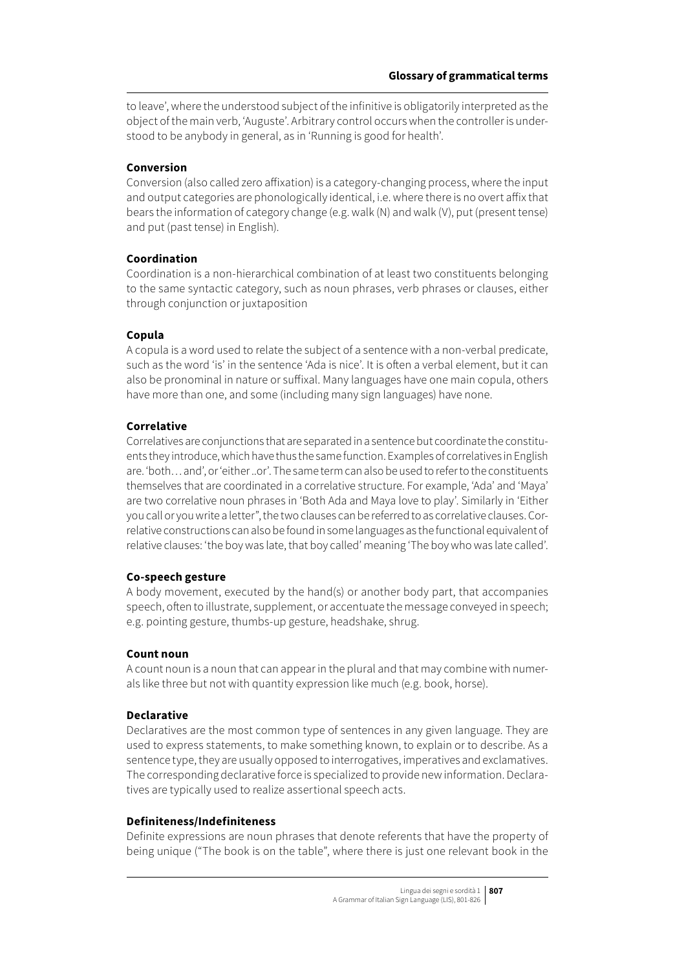to leave', where the understood subject of the infinitive is obligatorily interpreted as the object of the main verb, 'Auguste'. Arbitrary control occurs when the controller is understood to be anybody in general, as in 'Running is good for health'.

## **Conversion**

Conversion (also called zero affixation) is a category-changing process, where the input and output categories are phonologically identical, i.e. where there is no overt affix that bears the information of category change (e.g. walk (N) and walk (V), put (present tense) and put (past tense) in English).

## **Coordination**

Coordination is a non-hierarchical combination of at least two constituents belonging to the same syntactic category, such as noun phrases, verb phrases or clauses, either through conjunction or juxtaposition

#### **Copula**

A copula is a word used to relate the subject of a sentence with a non-verbal predicate, such as the word 'is' in the sentence 'Ada is nice'. It is often a verbal element, but it can also be pronominal in nature or suffixal. Many languages have one main copula, others have more than one, and some (including many sign languages) have none.

## **Correlative**

Correlatives are conjunctions that are separated in a sentence but coordinate the constituents they introduce, which have thus the same function. Examples of correlatives in English are. 'both… and', or 'either ..or'. The same term can also be used to refer to the constituents themselves that are coordinated in a correlative structure. For example, 'Ada' and 'Maya' are two correlative noun phrases in 'Both Ada and Maya love to play'. Similarly in 'Either you call or you write a letter", the two clauses can be referred to as correlative clauses. Correlative constructions can also be found in some languages as the functional equivalent of relative clauses: 'the boy was late, that boy called' meaning 'The boy who was late called'.

# **Co-speech gesture**

A body movement, executed by the hand(s) or another body part, that accompanies speech, often to illustrate, supplement, or accentuate the message conveyed in speech; e.g. pointing gesture, thumbs-up gesture, headshake, shrug.

## **Count noun**

A count noun is a noun that can appear in the plural and that may combine with numerals like three but not with quantity expression like much (e.g. book, horse).

#### **Declarative**

Declaratives are the most common type of sentences in any given language. They are used to express statements, to make something known, to explain or to describe. As a sentence type, they are usually opposed to interrogatives, imperatives and exclamatives. The corresponding declarative force is specialized to provide new information. Declaratives are typically used to realize assertional speech acts.

#### **Definiteness/Indefiniteness**

Definite expressions are noun phrases that denote referents that have the property of being unique ("The book is on the table", where there is just one relevant book in the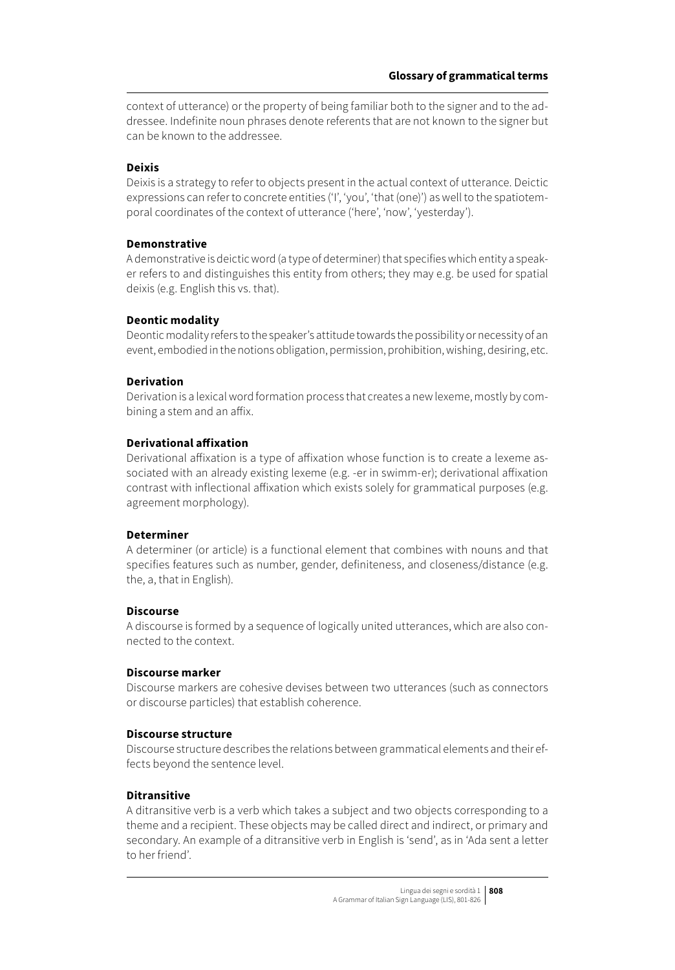context of utterance) or the property of being familiar both to the signer and to the addressee. Indefinite noun phrases denote referents that are not known to the signer but can be known to the addressee.

## **Deixis**

Deixis is a strategy to refer to objects present in the actual context of utterance. Deictic expressions can refer to concrete entities ('I', 'you', 'that (one)') as well to the spatiotemporal coordinates of the context of utterance ('here', 'now', 'yesterday').

## **Demonstrative**

A demonstrative is deictic word (a type of determiner) that specifies which entity a speaker refers to and distinguishes this entity from others; they may e.g. be used for spatial deixis (e.g. English this vs. that).

#### **Deontic modality**

Deontic modality refers to the speaker's attitude towards the possibility or necessity of an event, embodied in the notions obligation, permission, prohibition, wishing, desiring, etc.

#### **Derivation**

Derivation is a lexical word formation process that creates a new lexeme, mostly by combining a stem and an affix.

#### **Derivational affixation**

Derivational affixation is a type of affixation whose function is to create a lexeme associated with an already existing lexeme (e.g. -er in swimm-er); derivational affixation contrast with inflectional affixation which exists solely for grammatical purposes (e.g. agreement morphology).

#### **Determiner**

A determiner (or article) is a functional element that combines with nouns and that specifies features such as number, gender, definiteness, and closeness/distance (e.g. the, a, that in English).

#### **Discourse**

A discourse is formed by a sequence of logically united utterances, which are also connected to the context.

#### **Discourse marker**

Discourse markers are cohesive devises between two utterances (such as connectors or discourse particles) that establish coherence.

#### **Discourse structure**

Discourse structure describes the relations between grammatical elements and their effects beyond the sentence level.

# **Ditransitive**

A ditransitive verb is a verb which takes a subject and two objects corresponding to a theme and a recipient. These objects may be called direct and indirect, or primary and secondary. An example of a ditransitive verb in English is 'send', as in 'Ada sent a letter to her friend'.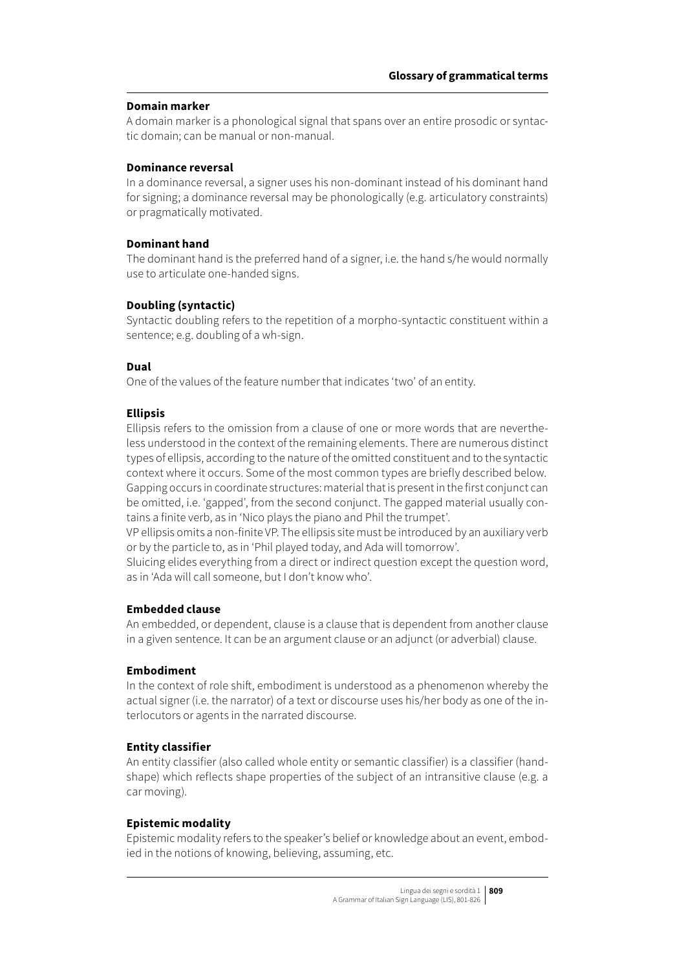#### **Domain marker**

A domain marker is a phonological signal that spans over an entire prosodic or syntactic domain; can be manual or non-manual.

## **Dominance reversal**

In a dominance reversal, a signer uses his non-dominant instead of his dominant hand for signing; a dominance reversal may be phonologically (e.g. articulatory constraints) or pragmatically motivated.

## **Dominant hand**

The dominant hand is the preferred hand of a signer, i.e. the hand s/he would normally use to articulate one-handed signs.

#### **Doubling (syntactic)**

Syntactic doubling refers to the repetition of a morpho-syntactic constituent within a sentence; e.g. doubling of a wh-sign.

#### **Dual**

One of the values of the feature number that indicates 'two' of an entity.

#### **Ellipsis**

Ellipsis refers to the omission from a clause of one or more words that are nevertheless understood in the context of the remaining elements. There are numerous distinct types of ellipsis, according to the nature of the omitted constituent and to the syntactic context where it occurs. Some of the most common types are briefly described below. Gapping occurs in coordinate structures: material that is present in the first conjunct can be omitted, i.e. 'gapped', from the second conjunct. The gapped material usually contains a finite verb, as in 'Nico plays the piano and Phil the trumpet'.

VP ellipsis omits a non-finite VP. The ellipsis site must be introduced by an auxiliary verb or by the particle to, as in 'Phil played today, and Ada will tomorrow'.

Sluicing elides everything from a direct or indirect question except the question word, as in 'Ada will call someone, but I don't know who'.

#### **Embedded clause**

An embedded, or dependent, clause is a clause that is dependent from another clause in a given sentence. It can be an argument clause or an adjunct (or adverbial) clause.

#### **Embodiment**

In the context of role shift, embodiment is understood as a phenomenon whereby the actual signer (i.e. the narrator) of a text or discourse uses his/her body as one of the interlocutors or agents in the narrated discourse.

#### **Entity classifier**

An entity classifier (also called whole entity or semantic classifier) is a classifier (handshape) which reflects shape properties of the subject of an intransitive clause (e.g. a car moving).

#### **Epistemic modality**

Epistemic modality refers to the speaker's belief or knowledge about an event, embodied in the notions of knowing, believing, assuming, etc.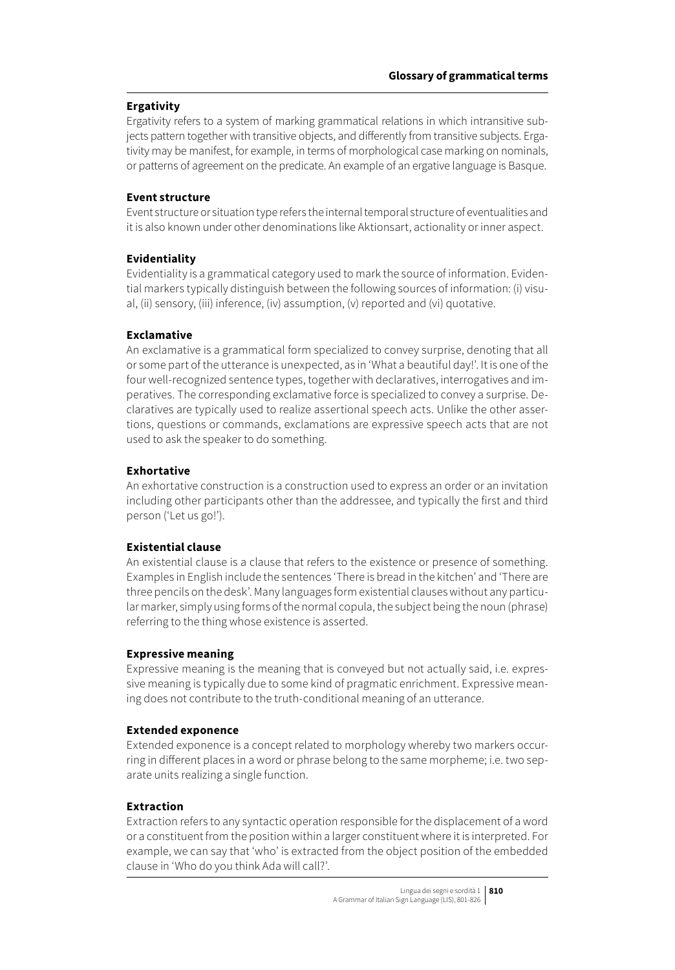#### **Ergativity**

Ergativity refers to a system of marking grammatical relations in which intransitive subjects pattern together with transitive objects, and differently from transitive subjects. Ergativity may be manifest, for example, in terms of morphological case marking on nominals, or patterns of agreement on the predicate. An example of an ergative language is Basque.

# **Event structure**

Event structure or situation type refers the internal temporal structure of eventualities and it is also known under other denominations like Aktionsart, actionality or inner aspect.

## **Evidentiality**

Evidentiality is a grammatical category used to mark the source of information. Evidential markers typically distinguish between the following sources of information: (i) visual, (ii) sensory, (iii) inference, (iv) assumption, (v) reported and (vi) quotative.

#### **Exclamative**

An exclamative is a grammatical form specialized to convey surprise, denoting that all or some part of the utterance is unexpected, as in 'What a beautiful day!'. It is one of the four well-recognized sentence types, together with declaratives, interrogatives and imperatives. The corresponding exclamative force is specialized to convey a surprise. Declaratives are typically used to realize assertional speech acts. Unlike the other assertions, questions or commands, exclamations are expressive speech acts that are not used to ask the speaker to do something.

## **Exhortative**

An exhortative construction is a construction used to express an order or an invitation including other participants other than the addressee, and typically the first and third person ('Let us go!').

## **Existential clause**

An existential clause is a clause that refers to the existence or presence of something. Examples in English include the sentences 'There is bread in the kitchen' and 'There are three pencils on the desk'. Many languages form existential clauses without any particular marker, simply using forms of the normal copula, the subject being the noun (phrase) referring to the thing whose existence is asserted.

## **Expressive meaning**

Expressive meaning is the meaning that is conveyed but not actually said, i.e. expressive meaning is typically due to some kind of pragmatic enrichment. Expressive meaning does not contribute to the truth-conditional meaning of an utterance.

#### **Extended exponence**

Extended exponence is a concept related to morphology whereby two markers occurring in different places in a word or phrase belong to the same morpheme; i.e. two separate units realizing a single function.

# **Extraction**

Extraction refers to any syntactic operation responsible for the displacement of a word or a constituent from the position within a larger constituent where it is interpreted. For example, we can say that 'who' is extracted from the object position of the embedded clause in 'Who do you think Ada will call?'.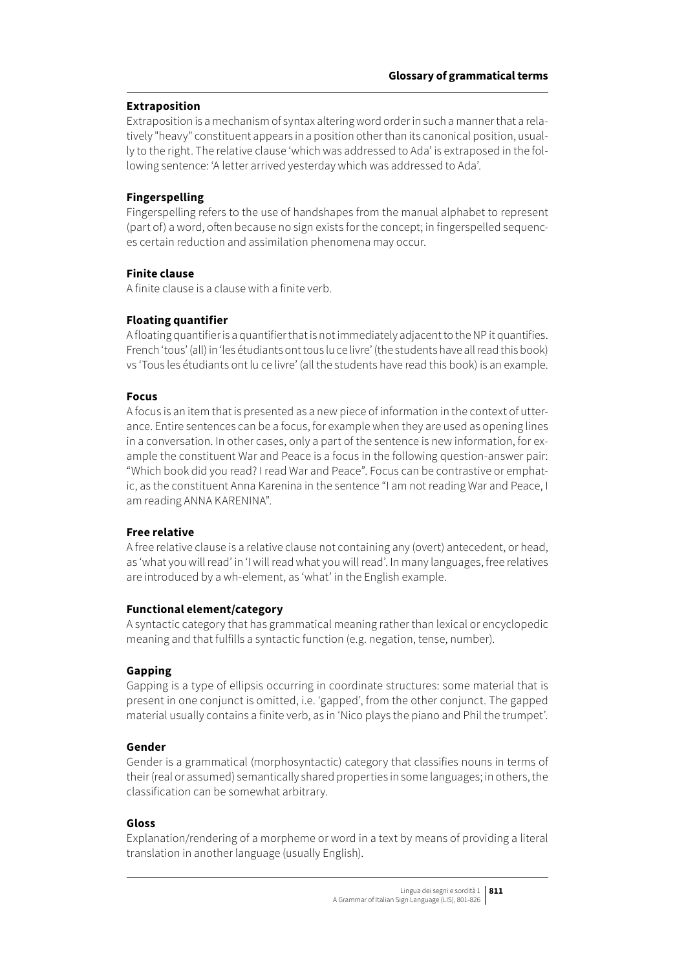## **Extraposition**

Extraposition is a mechanism of syntax altering word order in such a manner that a relatively "heavy" constituent appears in a position other than its canonical position, usually to the right. The relative clause 'which was addressed to Ada' is extraposed in the following sentence: 'A letter arrived yesterday which was addressed to Ada'.

# **Fingerspelling**

Fingerspelling refers to the use of handshapes from the manual alphabet to represent (part of) a word, often because no sign exists for the concept; in fingerspelled sequences certain reduction and assimilation phenomena may occur.

# **Finite clause**

A finite clause is a clause with a finite verb.

# **Floating quantifier**

A floating quantifier is a quantifier that is not immediately adjacent to the NP it quantifies. French 'tous' (all) in 'les étudiants ont tous lu ce livre' (the students have all read this book) vs 'Tous les étudiants ont lu ce livre' (all the students have read this book) is an example.

## **Focus**

A focus is an item that is presented as a new piece of information in the context of utterance. Entire sentences can be a focus, for example when they are used as opening lines in a conversation. In other cases, only a part of the sentence is new information, for example the constituent War and Peace is a focus in the following question-answer pair: "Which book did you read? I read War and Peace". Focus can be contrastive or emphatic, as the constituent Anna Karenina in the sentence "I am not reading War and Peace, I am reading ANNA KARENINA".

# **Free relative**

A free relative clause is a relative clause not containing any (overt) antecedent, or head, as 'what you will read' in 'I will read what you will read'. In many languages, free relatives are introduced by a wh-element, as 'what' in the English example.

## **Functional element/category**

A syntactic category that has grammatical meaning rather than lexical or encyclopedic meaning and that fulfills a syntactic function (e.g. negation, tense, number).

#### **Gapping**

Gapping is a type of ellipsis occurring in coordinate structures: some material that is present in one conjunct is omitted, i.e. 'gapped', from the other conjunct. The gapped material usually contains a finite verb, as in 'Nico plays the piano and Phil the trumpet'.

#### **Gender**

Gender is a grammatical (morphosyntactic) category that classifies nouns in terms of their (real or assumed) semantically shared properties in some languages; in others, the classification can be somewhat arbitrary.

#### **Gloss**

Explanation/rendering of a morpheme or word in a text by means of providing a literal translation in another language (usually English).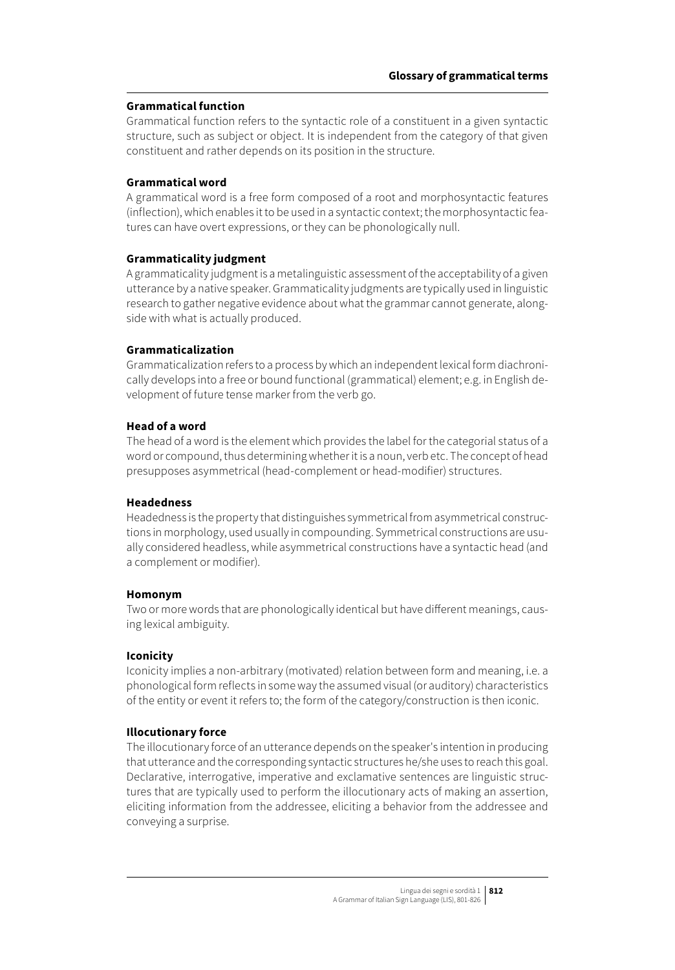# **Grammatical function**

Grammatical function refers to the syntactic role of a constituent in a given syntactic structure, such as subject or object. It is independent from the category of that given constituent and rather depends on its position in the structure.

## **Grammatical word**

A grammatical word is a free form composed of a root and morphosyntactic features (inflection), which enables it to be used in a syntactic context; the morphosyntactic features can have overt expressions, or they can be phonologically null.

#### **Grammaticality judgment**

A grammaticality judgment is a metalinguistic assessment of the acceptability of a given utterance by a native speaker. Grammaticality judgments are typically used in linguistic research to gather negative evidence about what the grammar cannot generate, alongside with what is actually produced.

# **Grammaticalization**

Grammaticalization refers to a process by which an independent lexical form diachronically develops into a free or bound functional (grammatical) element; e.g. in English development of future tense marker from the verb go.

## **Head of a word**

The head of a word is the element which provides the label for the categorial status of a word or compound, thus determining whether it is a noun, verb etc. The concept of head presupposes asymmetrical (head-complement or head-modifier) structures.

# **Headedness**

Headedness is the property that distinguishes symmetrical from asymmetrical constructions in morphology, used usually in compounding. Symmetrical constructions are usually considered headless, while asymmetrical constructions have a syntactic head (and a complement or modifier).

#### **Homonym**

Two or more words that are phonologically identical but have different meanings, causing lexical ambiguity.

#### **Iconicity**

Iconicity implies a non-arbitrary (motivated) relation between form and meaning, i.e. a phonological form reflects in some way the assumed visual (or auditory) characteristics of the entity or event it refers to; the form of the category/construction is then iconic.

# **Illocutionary force**

The illocutionary force of an utterance depends on the speaker's intention in producing that utterance and the corresponding syntactic structures he/she uses to reach this goal. Declarative, interrogative, imperative and exclamative sentences are linguistic structures that are typically used to perform the illocutionary acts of making an assertion, eliciting information from the addressee, eliciting a behavior from the addressee and conveying a surprise.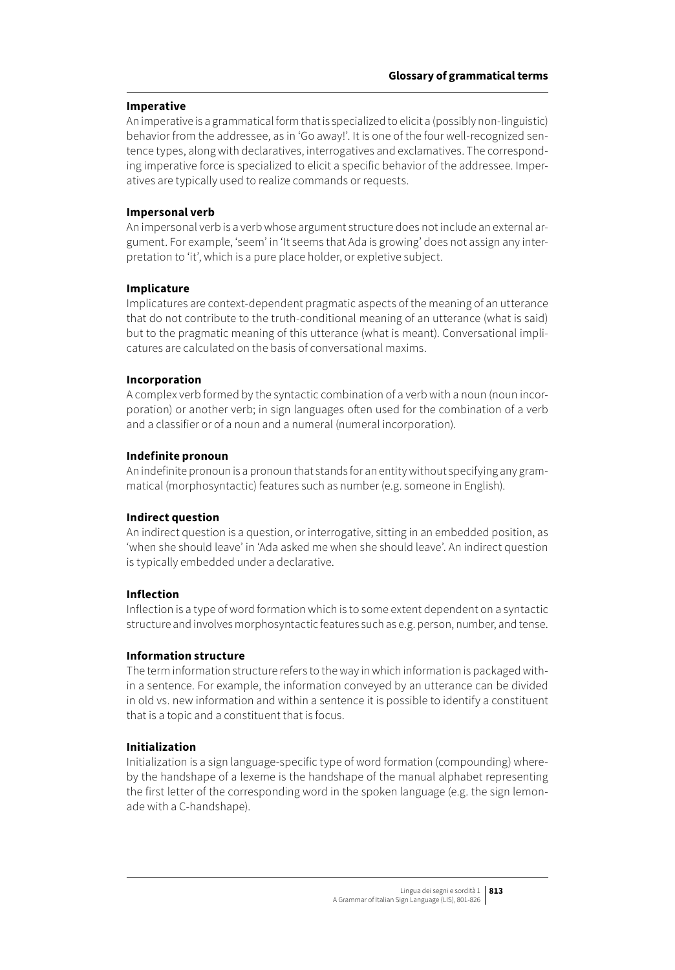## **Imperative**

An imperative is a grammatical form that is specialized to elicit a (possibly non-linguistic) behavior from the addressee, as in 'Go away!'. It is one of the four well-recognized sentence types, along with declaratives, interrogatives and exclamatives. The corresponding imperative force is specialized to elicit a specific behavior of the addressee. Imperatives are typically used to realize commands or requests.

## **Impersonal verb**

An impersonal verb is a verb whose argument structure does not include an external argument. For example, 'seem' in 'It seems that Ada is growing' does not assign any interpretation to 'it', which is a pure place holder, or expletive subject.

## **Implicature**

Implicatures are context-dependent pragmatic aspects of the meaning of an utterance that do not contribute to the truth-conditional meaning of an utterance (what is said) but to the pragmatic meaning of this utterance (what is meant). Conversational implicatures are calculated on the basis of conversational maxims.

## **Incorporation**

A complex verb formed by the syntactic combination of a verb with a noun (noun incorporation) or another verb; in sign languages often used for the combination of a verb and a classifier or of a noun and a numeral (numeral incorporation).

## **Indefinite pronoun**

An indefinite pronoun is a pronoun that stands for an entity without specifying any grammatical (morphosyntactic) features such as number (e.g. someone in English).

#### **Indirect question**

An indirect question is a question, or interrogative, sitting in an embedded position, as 'when she should leave' in 'Ada asked me when she should leave'. An indirect question is typically embedded under a declarative.

## **Inflection**

Inflection is a type of word formation which is to some extent dependent on a syntactic structure and involves morphosyntactic features such as e.g. person, number, and tense.

## **Information structure**

The term information structure refers to the way in which information is packaged within a sentence. For example, the information conveyed by an utterance can be divided in old vs. new information and within a sentence it is possible to identify a constituent that is a topic and a constituent that is focus.

#### **Initialization**

Initialization is a sign language-specific type of word formation (compounding) whereby the handshape of a lexeme is the handshape of the manual alphabet representing the first letter of the corresponding word in the spoken language (e.g. the sign lemonade with a C-handshape).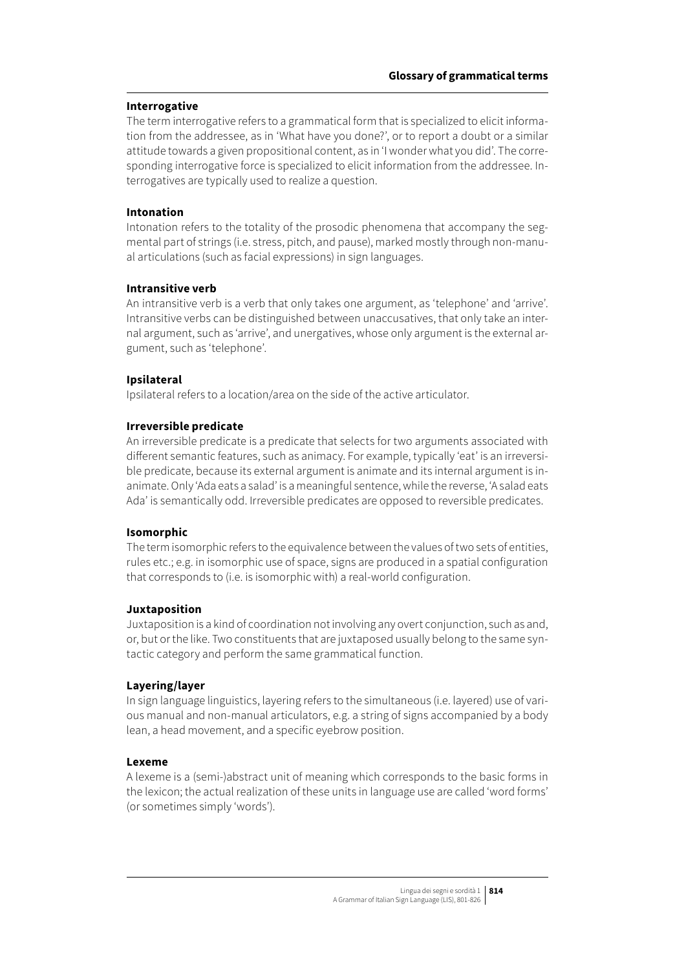## **Interrogative**

The term interrogative refers to a grammatical form that is specialized to elicit information from the addressee, as in 'What have you done?', or to report a doubt or a similar attitude towards a given propositional content, as in 'I wonder what you did'. The corresponding interrogative force is specialized to elicit information from the addressee. Interrogatives are typically used to realize a question.

## **Intonation**

Intonation refers to the totality of the prosodic phenomena that accompany the segmental part of strings (i.e. stress, pitch, and pause), marked mostly through non-manual articulations (such as facial expressions) in sign languages.

## **Intransitive verb**

An intransitive verb is a verb that only takes one argument, as 'telephone' and 'arrive'. Intransitive verbs can be distinguished between unaccusatives, that only take an internal argument, such as 'arrive', and unergatives, whose only argument is the external argument, such as 'telephone'.

## **Ipsilateral**

Ipsilateral refers to a location/area on the side of the active articulator.

## **Irreversible predicate**

An irreversible predicate is a predicate that selects for two arguments associated with different semantic features, such as animacy. For example, typically 'eat' is an irreversible predicate, because its external argument is animate and its internal argument is inanimate. Only 'Ada eats a salad' is a meaningful sentence, while the reverse, 'A salad eats Ada' is semantically odd. Irreversible predicates are opposed to reversible predicates.

## **Isomorphic**

The term isomorphic refers to the equivalence between the values of two sets of entities, rules etc.; e.g. in isomorphic use of space, signs are produced in a spatial configuration that corresponds to (i.e. is isomorphic with) a real-world configuration.

# **Juxtaposition**

Juxtaposition is a kind of coordination not involving any overt conjunction, such as and, or, but or the like. Two constituents that are juxtaposed usually belong to the same syntactic category and perform the same grammatical function.

#### **Layering/layer**

In sign language linguistics, layering refers to the simultaneous (i.e. layered) use of various manual and non-manual articulators, e.g. a string of signs accompanied by a body lean, a head movement, and a specific eyebrow position.

# **Lexeme**

A lexeme is a (semi-)abstract unit of meaning which corresponds to the basic forms in the lexicon; the actual realization of these units in language use are called 'word forms' (or sometimes simply 'words').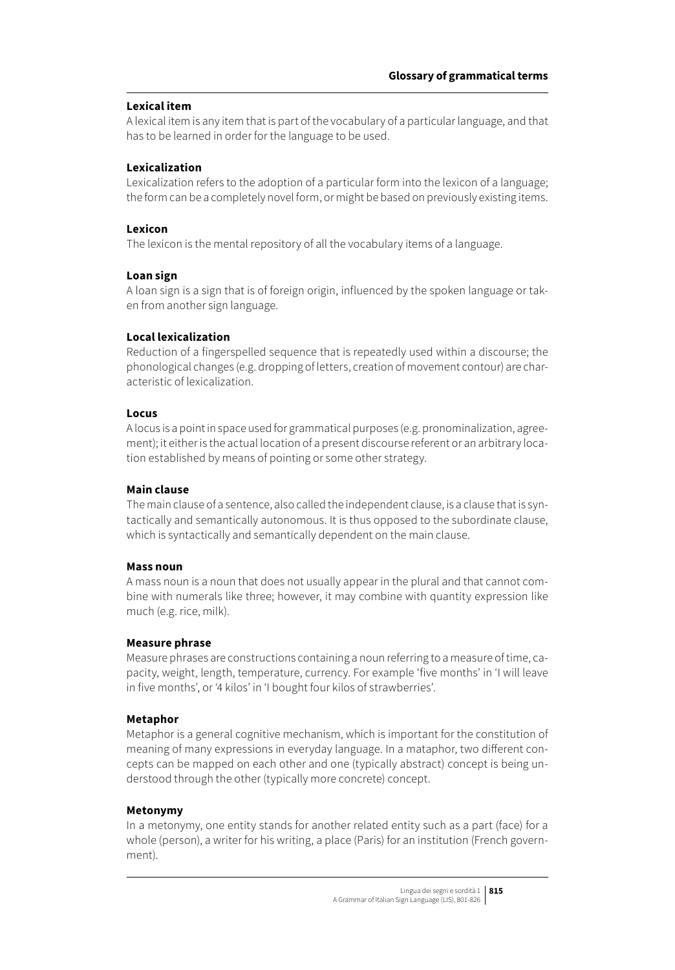## **Lexical item**

A lexical item is any item that is part of the vocabulary of a particular language, and that has to be learned in order for the language to be used.

## **Lexicalization**

Lexicalization refers to the adoption of a particular form into the lexicon of a language; the form can be a completely novel form, or might be based on previously existing items.

#### **Lexicon**

The lexicon is the mental repository of all the vocabulary items of a language.

## **Loan sign**

A loan sign is a sign that is of foreign origin, influenced by the spoken language or taken from another sign language.

#### **Local lexicalization**

Reduction of a fingerspelled sequence that is repeatedly used within a discourse; the phonological changes (e.g. dropping of letters, creation of movement contour) are characteristic of lexicalization.

## **Locus**

A locus is a point in space used for grammatical purposes (e.g. pronominalization, agreement); it either is the actual location of a present discourse referent or an arbitrary location established by means of pointing or some other strategy.

#### **Main clause**

The main clause of a sentence, also called the independent clause, is a clause that is syntactically and semantically autonomous. It is thus opposed to the subordinate clause, which is syntactically and semantically dependent on the main clause.

## **Mass noun**

A mass noun is a noun that does not usually appear in the plural and that cannot combine with numerals like three; however, it may combine with quantity expression like much (e.g. rice, milk).

#### **Measure phrase**

Measure phrases are constructions containing a noun referring to a measure of time, capacity, weight, length, temperature, currency. For example 'five months' in 'I will leave in five months', or '4 kilos' in 'I bought four kilos of strawberries'.

#### **Metaphor**

Metaphor is a general cognitive mechanism, which is important for the constitution of meaning of many expressions in everyday language. In a mataphor, two different concepts can be mapped on each other and one (typically abstract) concept is being understood through the other (typically more concrete) concept.

#### **Metonymy**

In a metonymy, one entity stands for another related entity such as a part (face) for a whole (person), a writer for his writing, a place (Paris) for an institution (French government).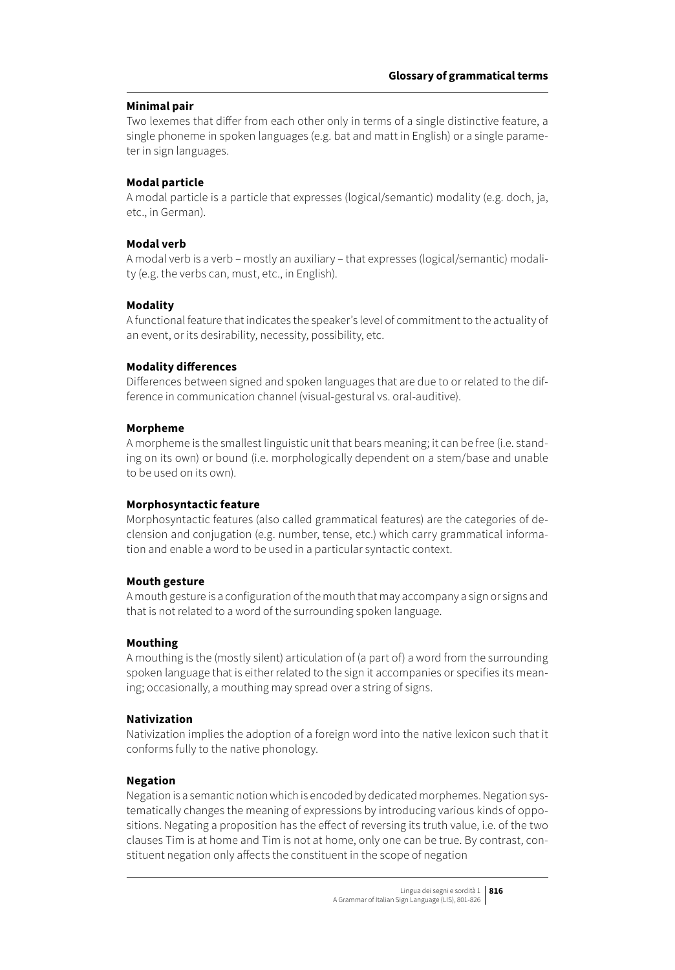#### **Minimal pair**

Two lexemes that differ from each other only in terms of a single distinctive feature, a single phoneme in spoken languages (e.g. bat and matt in English) or a single parameter in sign languages.

## **Modal particle**

A modal particle is a particle that expresses (logical/semantic) modality (e.g. doch, ja, etc., in German).

## **Modal verb**

A modal verb is a verb – mostly an auxiliary – that expresses (logical/semantic) modality (e.g. the verbs can, must, etc., in English).

#### **Modality**

A functional feature that indicates the speaker's level of commitment to the actuality of an event, or its desirability, necessity, possibility, etc.

#### **Modality differences**

Differences between signed and spoken languages that are due to or related to the difference in communication channel (visual-gestural vs. oral-auditive).

#### **Morpheme**

A morpheme is the smallest linguistic unit that bears meaning; it can be free (i.e. standing on its own) or bound (i.e. morphologically dependent on a stem/base and unable to be used on its own).

#### **Morphosyntactic feature**

Morphosyntactic features (also called grammatical features) are the categories of declension and conjugation (e.g. number, tense, etc.) which carry grammatical information and enable a word to be used in a particular syntactic context.

## **Mouth gesture**

A mouth gesture is a configuration of the mouth that may accompany a sign or signs and that is not related to a word of the surrounding spoken language.

#### **Mouthing**

A mouthing is the (mostly silent) articulation of (a part of) a word from the surrounding spoken language that is either related to the sign it accompanies or specifies its meaning; occasionally, a mouthing may spread over a string of signs.

#### **Nativization**

Nativization implies the adoption of a foreign word into the native lexicon such that it conforms fully to the native phonology.

#### **Negation**

Negation is a semantic notion which is encoded by dedicated morphemes. Negation systematically changes the meaning of expressions by introducing various kinds of oppositions. Negating a proposition has the effect of reversing its truth value, i.e. of the two clauses Tim is at home and Tim is not at home, only one can be true. By contrast, constituent negation only affects the constituent in the scope of negation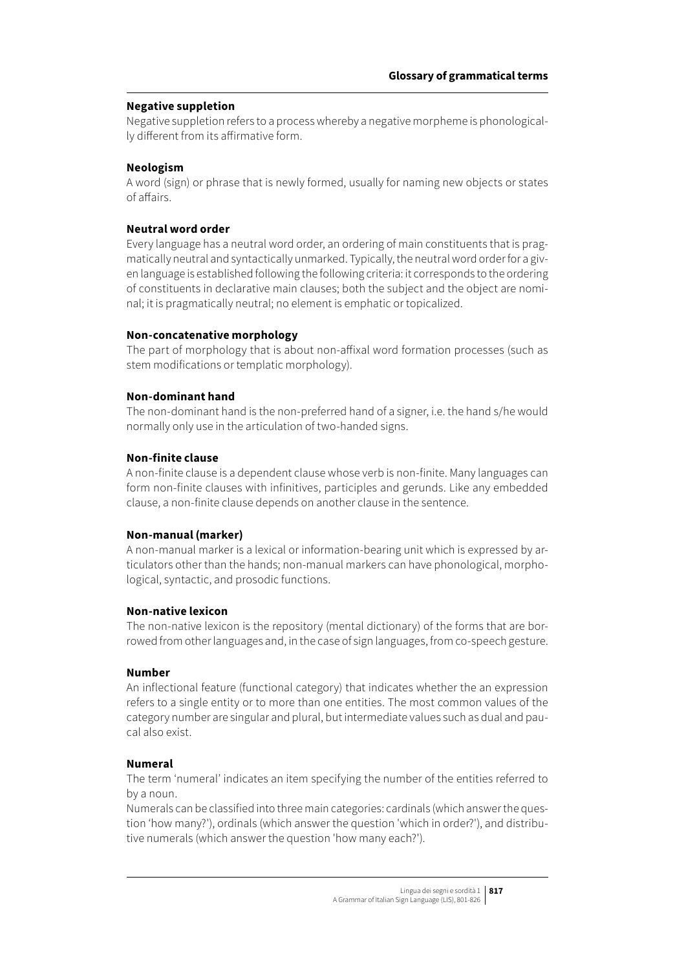# **Negative suppletion**

Negative suppletion refers to a process whereby a negative morpheme is phonologically different from its affirmative form.

# **Neologism**

A word (sign) or phrase that is newly formed, usually for naming new objects or states of affairs.

# **Neutral word order**

Every language has a neutral word order, an ordering of main constituents that is pragmatically neutral and syntactically unmarked. Typically, the neutral word order for a given language is established following the following criteria: it corresponds to the ordering of constituents in declarative main clauses; both the subject and the object are nominal; it is pragmatically neutral; no element is emphatic or topicalized.

## **Non-concatenative morphology**

The part of morphology that is about non-affixal word formation processes (such as stem modifications or templatic morphology).

#### **Non-dominant hand**

The non-dominant hand is the non-preferred hand of a signer, i.e. the hand s/he would normally only use in the articulation of two-handed signs.

#### **Non-finite clause**

A non-finite clause is a dependent clause whose verb is non-finite. Many languages can form non-finite clauses with infinitives, participles and gerunds. Like any embedded clause, a non-finite clause depends on another clause in the sentence.

# **Non-manual (marker)**

A non-manual marker is a lexical or information-bearing unit which is expressed by articulators other than the hands; non-manual markers can have phonological, morphological, syntactic, and prosodic functions.

#### **Non-native lexicon**

The non-native lexicon is the repository (mental dictionary) of the forms that are borrowed from other languages and, in the case of sign languages, from co-speech gesture.

#### **Number**

An inflectional feature (functional category) that indicates whether the an expression refers to a single entity or to more than one entities. The most common values of the category number are singular and plural, but intermediate values such as dual and paucal also exist.

# **Numeral**

The term 'numeral' indicates an item specifying the number of the entities referred to by a noun.

Numerals can be classified into three main categories: cardinals (which answer the question 'how many?'), ordinals (which answer the question 'which in order?'), and distributive numerals (which answer the question 'how many each?').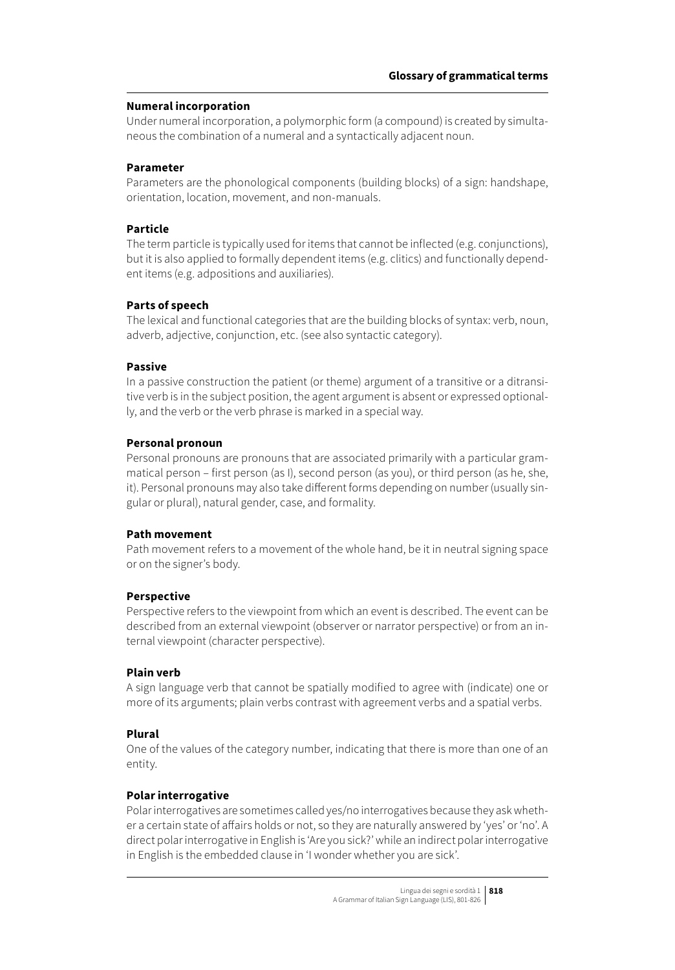# **Numeral incorporation**

Under numeral incorporation, a polymorphic form (a compound) is created by simultaneous the combination of a numeral and a syntactically adjacent noun.

#### **Parameter**

Parameters are the phonological components (building blocks) of a sign: handshape, orientation, location, movement, and non-manuals.

#### **Particle**

The term particle is typically used for items that cannot be inflected (e.g. conjunctions), but it is also applied to formally dependent items (e.g. clitics) and functionally dependent items (e.g. adpositions and auxiliaries).

#### **Parts of speech**

The lexical and functional categories that are the building blocks of syntax: verb, noun, adverb, adjective, conjunction, etc. (see also syntactic category).

#### **Passive**

In a passive construction the patient (or theme) argument of a transitive or a ditransitive verb is in the subject position, the agent argument is absent or expressed optionally, and the verb or the verb phrase is marked in a special way.

#### **Personal pronoun**

Personal pronouns are pronouns that are associated primarily with a particular grammatical person – first person (as I), second person (as you), or third person (as he, she, it). Personal pronouns may also take different forms depending on number (usually singular or plural), natural gender, case, and formality.

#### **Path movement**

Path movement refers to a movement of the whole hand, be it in neutral signing space or on the signer's body.

#### **Perspective**

Perspective refers to the viewpoint from which an event is described. The event can be described from an external viewpoint (observer or narrator perspective) or from an internal viewpoint (character perspective).

#### **Plain verb**

A sign language verb that cannot be spatially modified to agree with (indicate) one or more of its arguments; plain verbs contrast with agreement verbs and a spatial verbs.

#### **Plural**

One of the values of the category number, indicating that there is more than one of an entity.

# **Polar interrogative**

Polar interrogatives are sometimes called yes/no interrogatives because they ask whether a certain state of affairs holds or not, so they are naturally answered by 'yes' or 'no'. A direct polar interrogative in English is 'Are you sick?' while an indirect polar interrogative in English is the embedded clause in 'I wonder whether you are sick'.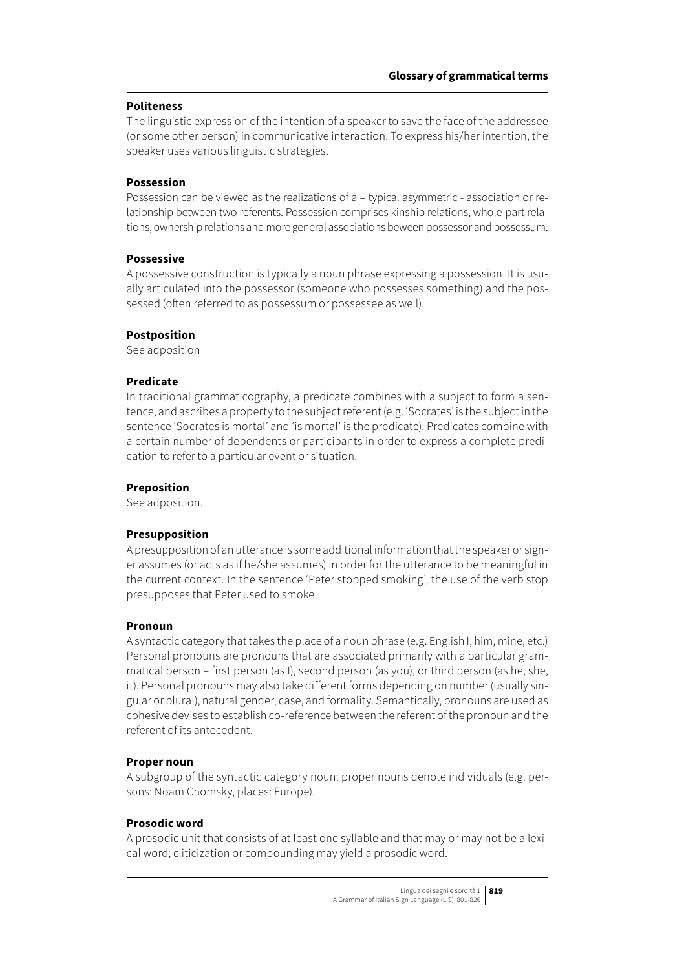#### **Politeness**

The linguistic expression of the intention of a speaker to save the face of the addressee (or some other person) in communicative interaction. To express his/her intention, the speaker uses various linguistic strategies.

## **Possession**

Possession can be viewed as the realizations of a – typical asymmetric - association or relationship between two referents. Possession comprises kinship relations, whole-part relations, ownership relations and more general associations beween possessor and possessum.

## **Possessive**

A possessive construction is typically a noun phrase expressing a possession. It is usually articulated into the possessor (someone who possesses something) and the possessed (often referred to as possessum or possessee as well).

## **Postposition**

See adposition

## **Predicate**

In traditional grammaticography, a predicate combines with a subject to form a sentence, and ascribes a property to the subject referent (e.g. 'Socrates' is the subject in the sentence 'Socrates is mortal' and 'is mortal' is the predicate). Predicates combine with a certain number of dependents or participants in order to express a complete predication to refer to a particular event or situation.

#### **Preposition**

See adposition.

#### **Presupposition**

A presupposition of an utterance is some additional information that the speaker or signer assumes (or acts as if he/she assumes) in order for the utterance to be meaningful in the current context. In the sentence 'Peter stopped smoking', the use of the verb stop presupposes that Peter used to smoke.

#### **Pronoun**

A syntactic category that takes the place of a noun phrase (e.g. English I, him, mine, etc.) Personal pronouns are pronouns that are associated primarily with a particular grammatical person – first person (as I), second person (as you), or third person (as he, she, it). Personal pronouns may also take different forms depending on number (usually singular or plural), natural gender, case, and formality. Semantically, pronouns are used as cohesive devises to establish co-reference between the referent of the pronoun and the referent of its antecedent.

#### **Proper noun**

A subgroup of the syntactic category noun; proper nouns denote individuals (e.g. persons: Noam Chomsky, places: Europe).

#### **Prosodic word**

A prosodic unit that consists of at least one syllable and that may or may not be a lexical word; cliticization or compounding may yield a prosodic word.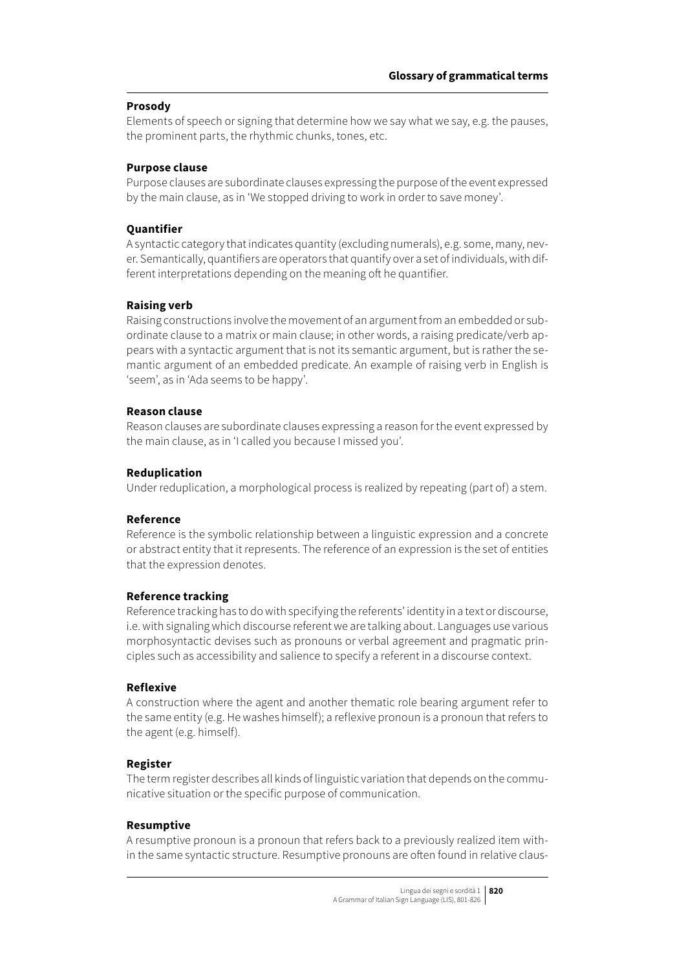#### **Prosody**

Elements of speech or signing that determine how we say what we say, e.g. the pauses, the prominent parts, the rhythmic chunks, tones, etc.

## **Purpose clause**

Purpose clauses are subordinate clauses expressing the purpose of the event expressed by the main clause, as in 'We stopped driving to work in order to save money'.

#### **Quantifier**

A syntactic category that indicates quantity (excluding numerals), e.g. some, many, never. Semantically, quantifiers are operators that quantify over a set of individuals, with different interpretations depending on the meaning oft he quantifier.

#### **Raising verb**

Raising constructions involve the movement of an argument from an embedded or subordinate clause to a matrix or main clause; in other words, a raising predicate/verb appears with a syntactic argument that is not its semantic argument, but is rather the semantic argument of an embedded predicate. An example of raising verb in English is 'seem', as in 'Ada seems to be happy'.

#### **Reason clause**

Reason clauses are subordinate clauses expressing a reason for the event expressed by the main clause, as in 'I called you because I missed you'.

## **Reduplication**

Under reduplication, a morphological process is realized by repeating (part of) a stem.

#### **Reference**

Reference is the symbolic relationship between a linguistic expression and a concrete or abstract entity that it represents. The reference of an expression is the set of entities that the expression denotes.

# **Reference tracking**

Reference tracking has to do with specifying the referents' identity in a text or discourse, i.e. with signaling which discourse referent we are talking about. Languages use various morphosyntactic devises such as pronouns or verbal agreement and pragmatic principles such as accessibility and salience to specify a referent in a discourse context.

#### **Reflexive**

A construction where the agent and another thematic role bearing argument refer to the same entity (e.g. He washes himself); a reflexive pronoun is a pronoun that refers to the agent (e.g. himself).

## **Register**

The term register describes all kinds of linguistic variation that depends on the communicative situation or the specific purpose of communication.

#### **Resumptive**

A resumptive pronoun is a pronoun that refers back to a previously realized item within the same syntactic structure. Resumptive pronouns are often found in relative claus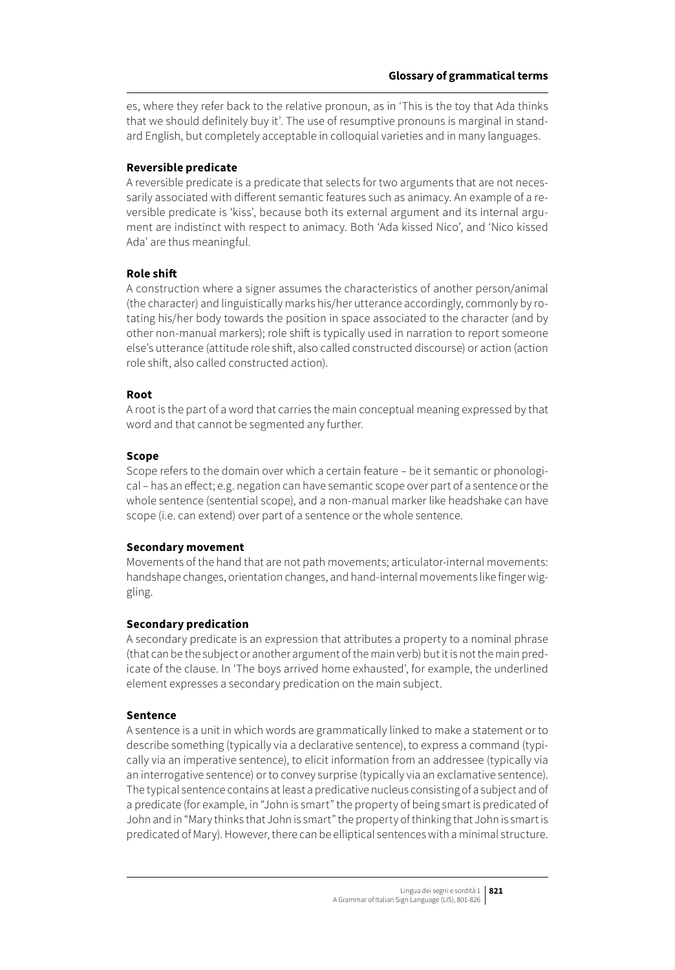es, where they refer back to the relative pronoun, as in 'This is the toy that Ada thinks that we should definitely buy it'. The use of resumptive pronouns is marginal in standard English, but completely acceptable in colloquial varieties and in many languages.

# **Reversible predicate**

A reversible predicate is a predicate that selects for two arguments that are not necessarily associated with different semantic features such as animacy. An example of a reversible predicate is 'kiss', because both its external argument and its internal argument are indistinct with respect to animacy. Both 'Ada kissed Nico', and 'Nico kissed Ada' are thus meaningful.

# **Role shift**

A construction where a signer assumes the characteristics of another person/animal (the character) and linguistically marks his/her utterance accordingly, commonly by rotating his/her body towards the position in space associated to the character (and by other non-manual markers); role shift is typically used in narration to report someone else's utterance (attitude role shift, also called constructed discourse) or action (action role shift, also called constructed action).

# **Root**

A root is the part of a word that carries the main conceptual meaning expressed by that word and that cannot be segmented any further.

# **Scope**

Scope refers to the domain over which a certain feature – be it semantic or phonological – has an effect; e.g. negation can have semantic scope over part of a sentence or the whole sentence (sentential scope), and a non-manual marker like headshake can have scope (i.e. can extend) over part of a sentence or the whole sentence.

# **Secondary movement**

Movements of the hand that are not path movements; articulator-internal movements: handshape changes, orientation changes, and hand-internal movements like finger wiggling.

# **Secondary predication**

A secondary predicate is an expression that attributes a property to a nominal phrase (that can be the subject or another argument of the main verb) but it is not the main predicate of the clause. In 'The boys arrived home exhausted', for example, the underlined element expresses a secondary predication on the main subject.

# **Sentence**

A sentence is a unit in which words are grammatically linked to make a statement or to describe something (typically via a declarative sentence), to express a command (typically via an imperative sentence), to elicit information from an addressee (typically via an interrogative sentence) or to convey surprise (typically via an exclamative sentence). The typical sentence contains at least a predicative nucleus consisting of a subject and of a predicate (for example, in "John is smart" the property of being smart is predicated of John and in "Mary thinks that John is smart" the property of thinking that John is smart is predicated of Mary). However, there can be elliptical sentences with a minimal structure.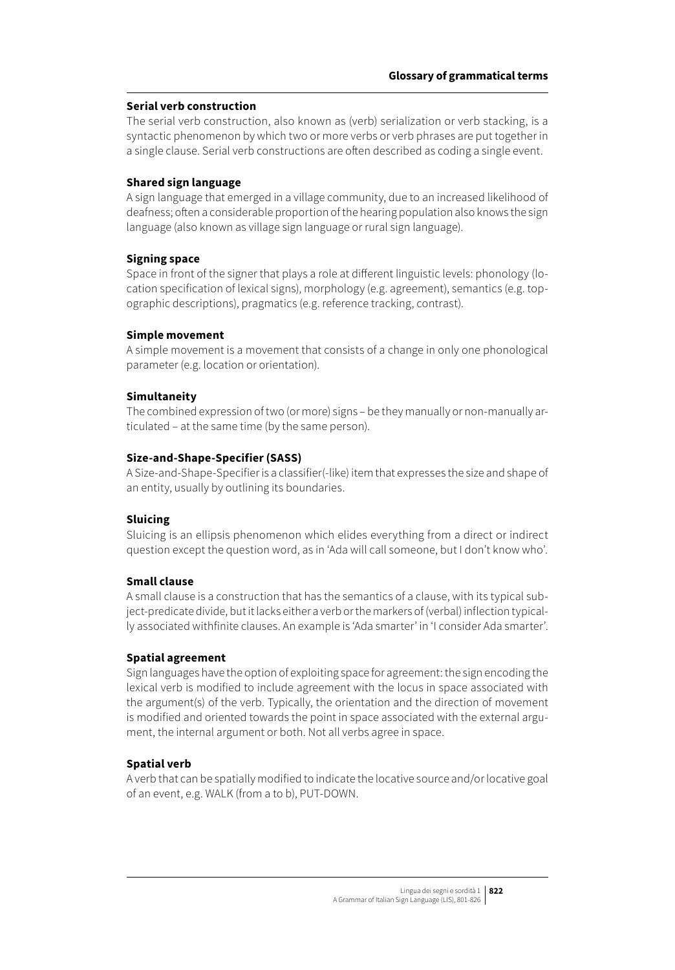## **Serial verb construction**

The serial verb construction, also known as (verb) serialization or verb stacking, is a syntactic phenomenon by which two or more verbs or verb phrases are put together in a single clause. Serial verb constructions are often described as coding a single event.

# **Shared sign language**

A sign language that emerged in a village community, due to an increased likelihood of deafness; often a considerable proportion of the hearing population also knows the sign language (also known as village sign language or rural sign language).

## **Signing space**

Space in front of the signer that plays a role at different linguistic levels: phonology (location specification of lexical signs), morphology (e.g. agreement), semantics (e.g. topographic descriptions), pragmatics (e.g. reference tracking, contrast).

#### **Simple movement**

A simple movement is a movement that consists of a change in only one phonological parameter (e.g. location or orientation).

## **Simultaneity**

The combined expression of two (or more) signs – be they manually or non-manually articulated – at the same time (by the same person).

#### **Size-and-Shape-Specifier (SASS)**

A Size-and-Shape-Specifier is a classifier(-like) item that expresses the size and shape of an entity, usually by outlining its boundaries.

#### **Sluicing**

Sluicing is an ellipsis phenomenon which elides everything from a direct or indirect question except the question word, as in 'Ada will call someone, but I don't know who'.

## **Small clause**

A small clause is a construction that has the semantics of a clause, with its typical subject-predicate divide, but it lacks either a verb or the markers of (verbal) inflection typically associated withfinite clauses. An example is 'Ada smarter' in 'I consider Ada smarter'.

# **Spatial agreement**

Sign languages have the option of exploiting space for agreement: the sign encoding the lexical verb is modified to include agreement with the locus in space associated with the argument(s) of the verb. Typically, the orientation and the direction of movement is modified and oriented towards the point in space associated with the external argument, the internal argument or both. Not all verbs agree in space.

## **Spatial verb**

A verb that can be spatially modified to indicate the locative source and/or locative goal of an event, e.g. WALK (from a to b), PUT-DOWN.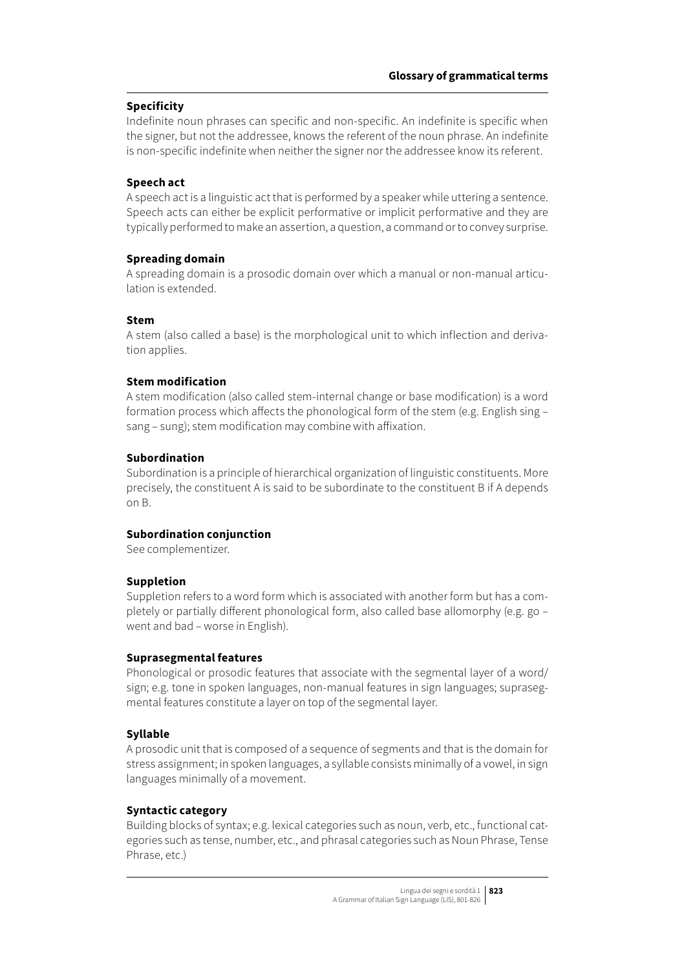## **Specificity**

Indefinite noun phrases can specific and non-specific. An indefinite is specific when the signer, but not the addressee, knows the referent of the noun phrase. An indefinite is non-specific indefinite when neither the signer nor the addressee know its referent.

# **Speech act**

A speech act is a linguistic act that is performed by a speaker while uttering a sentence. Speech acts can either be explicit performative or implicit performative and they are typically performed to make an assertion, a question, a command or to convey surprise.

#### **Spreading domain**

A spreading domain is a prosodic domain over which a manual or non-manual articulation is extended.

#### **Stem**

A stem (also called a base) is the morphological unit to which inflection and derivation applies.

#### **Stem modification**

A stem modification (also called stem-internal change or base modification) is a word formation process which affects the phonological form of the stem (e.g. English sing – sang – sung); stem modification may combine with affixation.

#### **Subordination**

Subordination is a principle of hierarchical organization of linguistic constituents. More precisely, the constituent A is said to be subordinate to the constituent B if A depends on B.

# **Subordination conjunction**

See complementizer.

## **Suppletion**

Suppletion refers to a word form which is associated with another form but has a completely or partially different phonological form, also called base allomorphy (e.g. go – went and bad – worse in English).

#### **Suprasegmental features**

Phonological or prosodic features that associate with the segmental layer of a word/ sign; e.g. tone in spoken languages, non-manual features in sign languages; suprasegmental features constitute a layer on top of the segmental layer.

# **Syllable**

A prosodic unit that is composed of a sequence of segments and that is the domain for stress assignment; in spoken languages, a syllable consists minimally of a vowel, in sign languages minimally of a movement.

# **Syntactic category**

Building blocks of syntax; e.g. lexical categories such as noun, verb, etc., functional categories such as tense, number, etc., and phrasal categories such as Noun Phrase, Tense Phrase, etc.)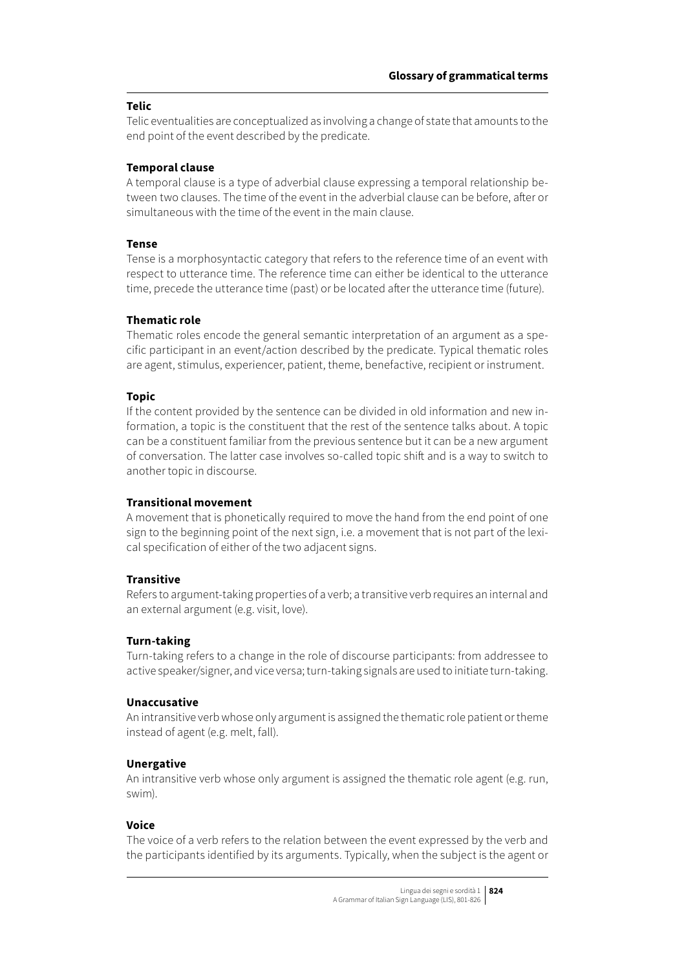#### **Telic**

Telic eventualities are conceptualized as involving a change of state that amounts to the end point of the event described by the predicate.

#### **Temporal clause**

A temporal clause is a type of adverbial clause expressing a temporal relationship between two clauses. The time of the event in the adverbial clause can be before, after or simultaneous with the time of the event in the main clause.

## **Tense**

Tense is a morphosyntactic category that refers to the reference time of an event with respect to utterance time. The reference time can either be identical to the utterance time, precede the utterance time (past) or be located after the utterance time (future).

## **Thematic role**

Thematic roles encode the general semantic interpretation of an argument as a specific participant in an event/action described by the predicate. Typical thematic roles are agent, stimulus, experiencer, patient, theme, benefactive, recipient or instrument.

## **Topic**

If the content provided by the sentence can be divided in old information and new information, a topic is the constituent that the rest of the sentence talks about. A topic can be a constituent familiar from the previous sentence but it can be a new argument of conversation. The latter case involves so-called topic shift and is a way to switch to another topic in discourse.

# **Transitional movement**

A movement that is phonetically required to move the hand from the end point of one sign to the beginning point of the next sign, i.e. a movement that is not part of the lexical specification of either of the two adjacent signs.

## **Transitive**

Refers to argument-taking properties of a verb; a transitive verb requires an internal and an external argument (e.g. visit, love).

## **Turn-taking**

Turn-taking refers to a change in the role of discourse participants: from addressee to active speaker/signer, and vice versa; turn-taking signals are used to initiate turn-taking.

#### **Unaccusative**

An intransitive verb whose only argument is assigned the thematic role patient or theme instead of agent (e.g. melt, fall).

## **Unergative**

An intransitive verb whose only argument is assigned the thematic role agent (e.g. run, swim).

#### **Voice**

The voice of a verb refers to the relation between the event expressed by the verb and the participants identified by its arguments. Typically, when the subject is the agent or